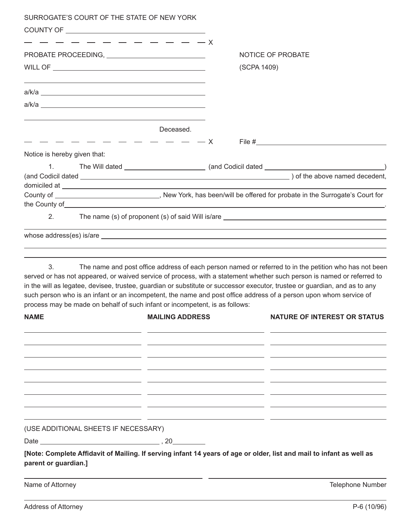| SURROGATE'S COURT OF THE STATE OF NEW YORK                                        |                                                                                                                                                                                                                                                                                                                                                                                                                                                                                    |
|-----------------------------------------------------------------------------------|------------------------------------------------------------------------------------------------------------------------------------------------------------------------------------------------------------------------------------------------------------------------------------------------------------------------------------------------------------------------------------------------------------------------------------------------------------------------------------|
|                                                                                   |                                                                                                                                                                                                                                                                                                                                                                                                                                                                                    |
|                                                                                   |                                                                                                                                                                                                                                                                                                                                                                                                                                                                                    |
|                                                                                   | NOTICE OF PROBATE                                                                                                                                                                                                                                                                                                                                                                                                                                                                  |
|                                                                                   | (SCPA 1409)                                                                                                                                                                                                                                                                                                                                                                                                                                                                        |
|                                                                                   |                                                                                                                                                                                                                                                                                                                                                                                                                                                                                    |
|                                                                                   |                                                                                                                                                                                                                                                                                                                                                                                                                                                                                    |
|                                                                                   | Deceased.                                                                                                                                                                                                                                                                                                                                                                                                                                                                          |
| $-$ - - - - - - - - - - X                                                         |                                                                                                                                                                                                                                                                                                                                                                                                                                                                                    |
| Notice is hereby given that:                                                      |                                                                                                                                                                                                                                                                                                                                                                                                                                                                                    |
| 1.                                                                                |                                                                                                                                                                                                                                                                                                                                                                                                                                                                                    |
|                                                                                   |                                                                                                                                                                                                                                                                                                                                                                                                                                                                                    |
|                                                                                   | County of _________________________________, New York, has been/will be offered for probate in the Surrogate's Court for                                                                                                                                                                                                                                                                                                                                                           |
|                                                                                   |                                                                                                                                                                                                                                                                                                                                                                                                                                                                                    |
| 2.                                                                                | The name (s) of proponent (s) of said Will is/are _______________________________                                                                                                                                                                                                                                                                                                                                                                                                  |
|                                                                                   | <u> 1989 - Andrea Santa Alemania, amerikana amerikana amerikana amerikana amerikana amerikana amerikana amerikan</u>                                                                                                                                                                                                                                                                                                                                                               |
|                                                                                   |                                                                                                                                                                                                                                                                                                                                                                                                                                                                                    |
| 3.<br>process may be made on behalf of such infant or incompetent, is as follows: | The name and post office address of each person named or referred to in the petition who has not been<br>served or has not appeared, or waived service of process, with a statement whether such person is named or referred to<br>in the will as legatee, devisee, trustee, guardian or substitute or successor executor, trustee or guardian, and as to any<br>such person who is an infant or an incompetent, the name and post office address of a person upon whom service of |
| <b>MAILING ADDRESS</b><br>NAME                                                    | <b>NATURE OF INTEREST OR STATUS</b>                                                                                                                                                                                                                                                                                                                                                                                                                                                |
|                                                                                   |                                                                                                                                                                                                                                                                                                                                                                                                                                                                                    |
|                                                                                   |                                                                                                                                                                                                                                                                                                                                                                                                                                                                                    |
|                                                                                   |                                                                                                                                                                                                                                                                                                                                                                                                                                                                                    |
|                                                                                   |                                                                                                                                                                                                                                                                                                                                                                                                                                                                                    |
| (USE ADDITIONAL SHEETS IF NECESSARY)                                              |                                                                                                                                                                                                                                                                                                                                                                                                                                                                                    |
|                                                                                   |                                                                                                                                                                                                                                                                                                                                                                                                                                                                                    |
| parent or guardian.]                                                              | [Note: Complete Affidavit of Mailing. If serving infant 14 years of age or older, list and mail to infant as well as                                                                                                                                                                                                                                                                                                                                                               |

Name of Attorney **Name of Attorney Name of Attorney** 

 $\overline{a}$